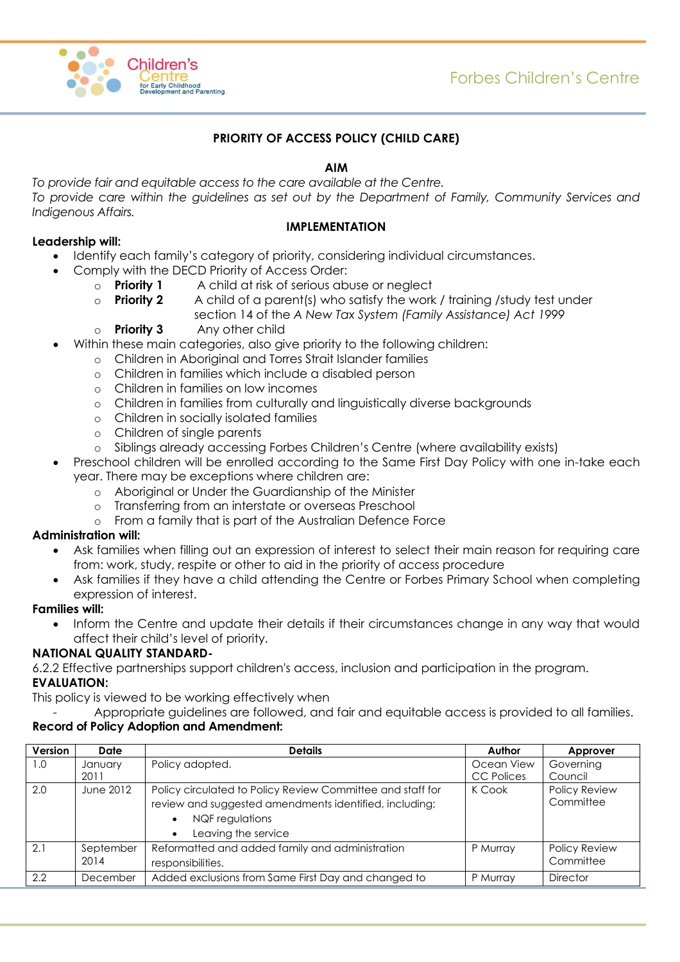

# **PRIORITY OF ACCESS POLICY (CHILD CARE)**

### **AIM**

*To provide fair and equitable access to the care available at the Centre. To provide care within the guidelines as set out by the Department of Family, Community Services and Indigenous Affairs.*

# **Leadership will:**

### **IMPLEMENTATION**

- Identify each family's category of priority, considering individual circumstances.
	- Comply with the DECD Priority of Access Order:
		- o **Priority 1** A child at risk of serious abuse or neglect
		- o **Priority 2** A child of a parent(s) who satisfy the work / training /study test under section 14 of the *A New Tax System (Family Assistance) Act 1999*
		- o **Priority 3** Any other child
- Within these main categories, also give priority to the following children:
	- o Children in Aboriginal and Torres Strait Islander families
	- o Children in families which include a disabled person
	- o Children in families on low incomes
	- o Children in families from culturally and linguistically diverse backgrounds
	- o Children in socially isolated families
	- o Children of single parents
	- o Siblings already accessing Forbes Children's Centre (where availability exists)
- Preschool children will be enrolled according to the Same First Day Policy with one in-take each year. There may be exceptions where children are:
	- o Aboriginal or Under the Guardianship of the Minister
	- o Transferring from an interstate or overseas Preschool
	- o From a family that is part of the Australian Defence Force

#### **Administration will:**

- Ask families when filling out an expression of interest to select their main reason for requiring care from: work, study, respite or other to aid in the priority of access procedure
- Ask families if they have a child attending the Centre or Forbes Primary School when completing expression of interest.

#### **Families will:**

• Inform the Centre and update their details if their circumstances change in any way that would affect their child's level of priority.

# **NATIONAL QUALITY STANDARD-**

6.2.2 Effective partnerships support children's access, inclusion and participation in the program. **EVALUATION:**

This policy is viewed to be working effectively when

Appropriate quidelines are followed, and fair and equitable access is provided to all families.

# **Record of Policy Adoption and Amendment:**

| Version | Date              | <b>Details</b>                                                                                                                                                              | Author            | Approver                   |
|---------|-------------------|-----------------------------------------------------------------------------------------------------------------------------------------------------------------------------|-------------------|----------------------------|
| 1.0     | January           | Policy adopted.                                                                                                                                                             | Ocean View        | Governing                  |
|         | 2011              |                                                                                                                                                                             | <b>CC Polices</b> | Council                    |
| 2.0     | June 2012         | Policy circulated to Policy Review Committee and staff for<br>review and suggested amendments identified, including;<br>NQF regulations<br>Leaving the service<br>$\bullet$ | K Cook            | Policy Review<br>Committee |
| 2.1     | September<br>2014 | Reformatted and added family and administration<br>responsibilities.                                                                                                        | P Murray          | Policy Review<br>Committee |
| 2.2     | December          | Added exclusions from Same First Day and changed to                                                                                                                         | P Murray          | <b>Director</b>            |